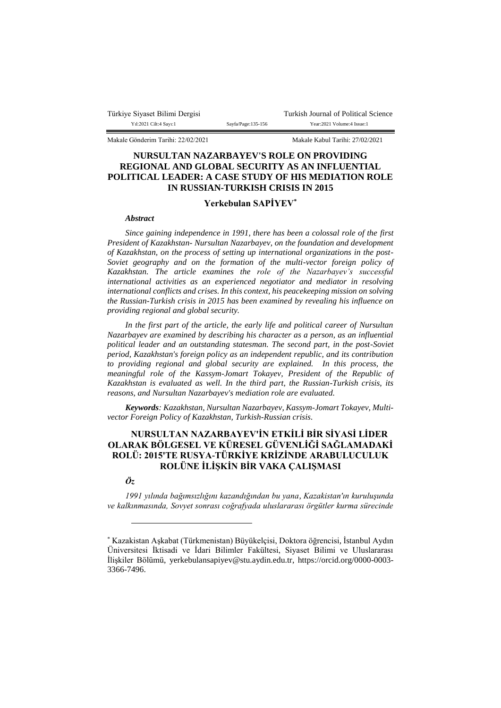| Türkiye Siyaset Bilimi Dergisi |  |
|--------------------------------|--|
| Yıl:2021 Cilt:4 Sayı:1         |  |

Turkish Journal of Political Science Sayfa/Page:135-156 Year:2021 Volume:4 Issue:1

Makale Gönderim Tarihi: 22/02/2021 Makale Kabul Tarihi: 27/02/2021

# **NURSULTAN NAZARBAYEV'S ROLE ON PROVIDING REGIONAL AND GLOBAL SECURITY AS AN INFLUENTIAL POLITICAL LEADER: A CASE STUDY OF HIS MEDIATION ROLE IN RUSSIAN-TURKISH CRISIS IN 2015**

## **Yerkebulan SAPİYEV\***

#### *Abstract*

*Since gaining independence in 1991, there has been a colossal role of the first President of Kazakhstan- Nursultan Nazarbayev, on the foundation and development of Kazakhstan, on the process of setting up international organizations in the post-Soviet geography and on the formation of the multi-vector foreign policy of Kazakhstan. The article examines the role of the Nazarbayev's successful international activities as an experienced negotiator and mediator in resolving international conflicts and crises. In this context, his peacekeeping mission on solving the Russian-Turkish crisis in 2015 has been examined by revealing his influence on providing regional and global security.*

*In the first part of the article, the early life and political career of Nursultan Nazarbayev are examined by describing his character as a person, as an influential political leader and an outstanding statesman. The second part, in the post-Soviet period, Kazakhstan's foreign policy as an independent republic, and its contribution to providing regional and global security are explained. In this process, the meaningful role of the Kassym-Jomart Tokayev, President of the Republic of Kazakhstan is evaluated as well. In the third part, the Russian-Turkish crisis, its reasons, and Nursultan Nazarbayev's mediation role are evaluated.*

*Keywords: Kazakhstan, Nursultan Nazarbayev, Kassym-Jomart Tokayev, Multivector Foreign Policy of Kazakhstan, Turkish-Russian crisis.* 

# **NURSULTAN NAZARBAYEV'İN ETKİLİ BİR SİYASİ LİDER OLARAK BÖLGESEL VE KÜRESEL GÜVENLİĞİ SAĞLAMADAKİ ROLÜ: 2015'TE RUSYA-TÜRKİYE KRİZİNDE ARABULUCULUK ROLÜNE İLİŞKİN BİR VAKA ÇALIŞMASI**

### *Öz*

 $\overline{a}$ 

*1991 yılında bağımsızlığını kazandığından bu yana, Kazakistan'ın kuruluşunda ve kalkınmasında, Sovyet sonrası coğrafyada uluslararası örgütler kurma sürecinde* 

<sup>\*</sup> Kazakistan Aşkabat (Türkmenistan) Büyükelçisi, Doktora öğrencisi, İstanbul Aydın Üniversitesi İktisadi ve İdari Bilimler Fakültesi, Siyaset Bilimi ve Uluslararası İlişkiler Bölümü, yerkebulansapiyev@stu.aydin.edu.tr, https://orcid.org/0000-0003- 3366-7496.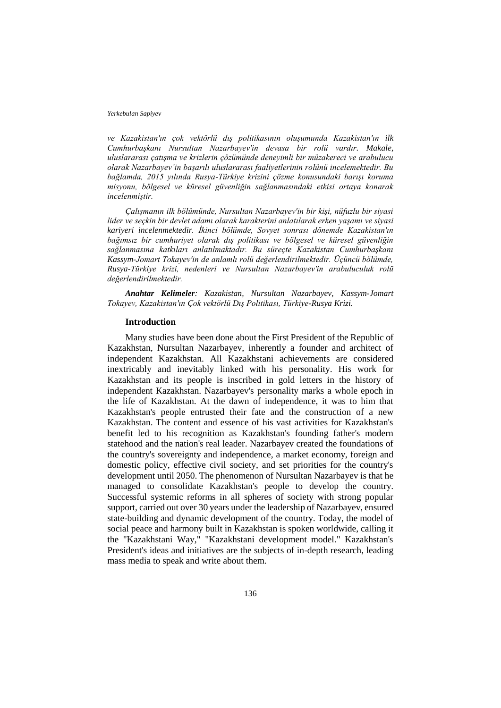*ve Kazakistan'ın çok vektörlü dış politikasının oluşumunda Kazakistan'ın ilk Cumhurbaşkanı Nursultan Nazarbayev'in devasa bir rolü vardır. Makale, uluslararası çatışma ve krizlerin çözümünde deneyimli bir müzakereci ve arabulucu olarak Nazarbayev'in başarılı uluslararası faaliyetlerinin rolünü incelemektedir. Bu bağlamda, 2015 yılında Rusya-Türkiye krizini çözme konusundaki barışı koruma misyonu, bölgesel ve küresel güvenliğin sağlanmasındaki etkisi ortaya konarak incelenmiştir.*

*Çalışmanın ilk bölümünde, Nursultan Nazarbayev'in bir kişi, nüfuzlu bir siyasi lider ve seçkin bir devlet adamı olarak karakterini anlatılarak erken yaşamı ve siyasi kariyeri incelenmektedir. İkinci bölümde, Sovyet sonrası dönemde Kazakistan'ın bağımsız bir cumhuriyet olarak dış politikası ve bölgesel ve küresel güvenliğin sağlanmasına katkıları anlatılmaktadır. Bu süreçte Kazakistan Cumhurbaşkanı Kassym-Jomart Tokayev'in de anlamlı rolü değerlendirilmektedir. Üçüncü bölümde, Rusya-Türkiye krizi, nedenleri ve Nursultan Nazarbayev'in arabuluculuk rolü değerlendirilmektedir.*

*Anahtar Kelimeler: Kazakistan, Nursultan Nazarbayev, Kassym-Jomart Tokayev, Kazakistan'ın Çok vektörlü Dış Politikası, Türkiye-Rusya Krizi.*

### **Introduction**

Many studies have been done about the First President of the Republic of Kazakhstan, Nursultan Nazarbayev, inherently a founder and architect of independent Kazakhstan. All Kazakhstani achievements are considered inextricably and inevitably linked with his personality. His work for Kazakhstan and its people is inscribed in gold letters in the history of independent Kazakhstan. Nazarbayev's personality marks a whole epoch in the life of Kazakhstan. At the dawn of independence, it was to him that Kazakhstan's people entrusted their fate and the construction of a new Kazakhstan. The content and essence of his vast activities for Kazakhstan's benefit led to his recognition as Kazakhstan's founding father's modern statehood and the nation's real leader. Nazarbayev created the foundations of the country's sovereignty and independence, a market economy, foreign and domestic policy, effective civil society, and set priorities for the country's development until 2050. The phenomenon of Nursultan Nazarbayev is that he managed to consolidate Kazakhstan's people to develop the country. Successful systemic reforms in all spheres of society with strong popular support, carried out over 30 years under the leadership of Nazarbayev, ensured state-building and dynamic development of the country. Today, the model of social peace and harmony built in Kazakhstan is spoken worldwide, calling it the "Kazakhstani Way," "Kazakhstani development model." Kazakhstan's President's ideas and initiatives are the subjects of in-depth research, leading mass media to speak and write about them.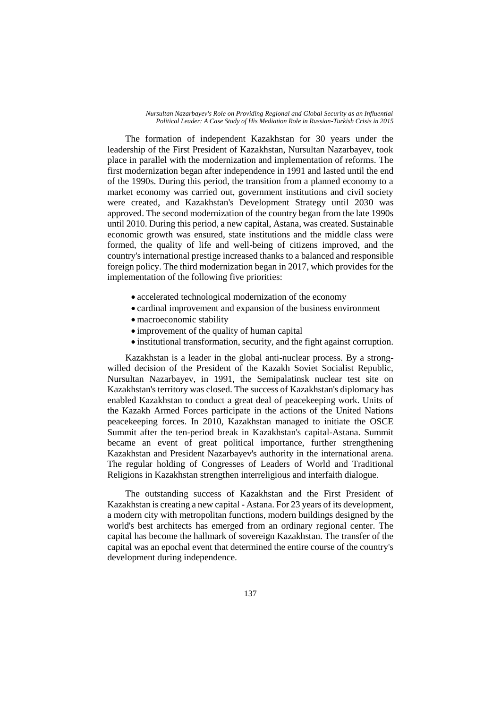The formation of independent Kazakhstan for 30 years under the leadership of the First President of Kazakhstan, Nursultan Nazarbayev, took place in parallel with the modernization and implementation of reforms. The first modernization began after independence in 1991 and lasted until the end of the 1990s. During this period, the transition from a planned economy to a market economy was carried out, government institutions and civil society were created, and Kazakhstan's Development Strategy until 2030 was approved. The second modernization of the country began from the late 1990s until 2010. During this period, a new capital, Astana, was created. Sustainable economic growth was ensured, state institutions and the middle class were formed, the quality of life and well-being of citizens improved, and the country's international prestige increased thanks to a balanced and responsible foreign policy. The third modernization began in 2017, which provides for the implementation of the following five priorities:

- accelerated technological modernization of the economy
- cardinal improvement and expansion of the business environment
- macroeconomic stability
- improvement of the quality of human capital
- institutional transformation, security, and the fight against corruption.

Kazakhstan is a leader in the global anti-nuclear process. By a strongwilled decision of the President of the Kazakh Soviet Socialist Republic, Nursultan Nazarbayev, in 1991, the Semipalatinsk nuclear test site on Kazakhstan's territory was closed. The success of Kazakhstan's diplomacy has enabled Kazakhstan to conduct a great deal of peacekeeping work. Units of the Kazakh Armed Forces participate in the actions of the United Nations peacekeeping forces. In 2010, Kazakhstan managed to initiate the OSCE Summit after the ten-period break in Kazakhstan's capital-Astana. Summit became an event of great political importance, further strengthening Kazakhstan and President Nazarbayev's authority in the international arena. The regular holding of Congresses of Leaders of World and Traditional Religions in Kazakhstan strengthen interreligious and interfaith dialogue.

The outstanding success of Kazakhstan and the First President of Kazakhstan is creating a new capital - Astana. For 23 years of its development, a modern city with metropolitan functions, modern buildings designed by the world's best architects has emerged from an ordinary regional center. The capital has become the hallmark of sovereign Kazakhstan. The transfer of the capital was an epochal event that determined the entire course of the country's development during independence.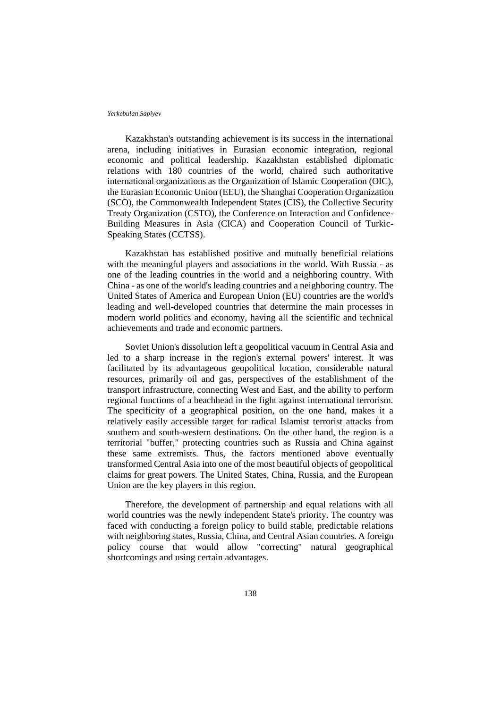Kazakhstan's outstanding achievement is its success in the international arena, including initiatives in Eurasian economic integration, regional economic and political leadership. Kazakhstan established diplomatic relations with 180 countries of the world, chaired such authoritative international organizations as the Organization of Islamic Cooperation (OIC), the Eurasian Economic Union (EEU), the Shanghai Cooperation Organization (SCO), the Commonwealth Independent States (CIS), the Collective Security Treaty Organization (CSTO), the Conference on Interaction and Confidence-Building Measures in Asia (CICA) and Cooperation Council of Turkic-Speaking States (CCTSS).

Kazakhstan has established positive and mutually beneficial relations with the meaningful players and associations in the world. With Russia - as one of the leading countries in the world and a neighboring country. With China - as one of the world's leading countries and a neighboring country. The United States of America and European Union (EU) countries are the world's leading and well-developed countries that determine the main processes in modern world politics and economy, having all the scientific and technical achievements and trade and economic partners.

Soviet Union's dissolution left a geopolitical vacuum in Central Asia and led to a sharp increase in the region's external powers' interest. It was facilitated by its advantageous geopolitical location, considerable natural resources, primarily oil and gas, perspectives of the establishment of the transport infrastructure, connecting West and East, and the ability to perform regional functions of a beachhead in the fight against international terrorism. The specificity of a geographical position, on the one hand, makes it a relatively easily accessible target for radical Islamist terrorist attacks from southern and south-western destinations. On the other hand, the region is a territorial "buffer," protecting countries such as Russia and China against these same extremists. Thus, the factors mentioned above eventually transformed Central Asia into one of the most beautiful objects of geopolitical claims for great powers. The United States, China, Russia, and the European Union are the key players in this region.

Therefore, the development of partnership and equal relations with all world countries was the newly independent State's priority. The country was faced with conducting a foreign policy to build stable, predictable relations with neighboring states, Russia, China, and Central Asian countries. A foreign policy course that would allow "correcting" natural geographical shortcomings and using certain advantages.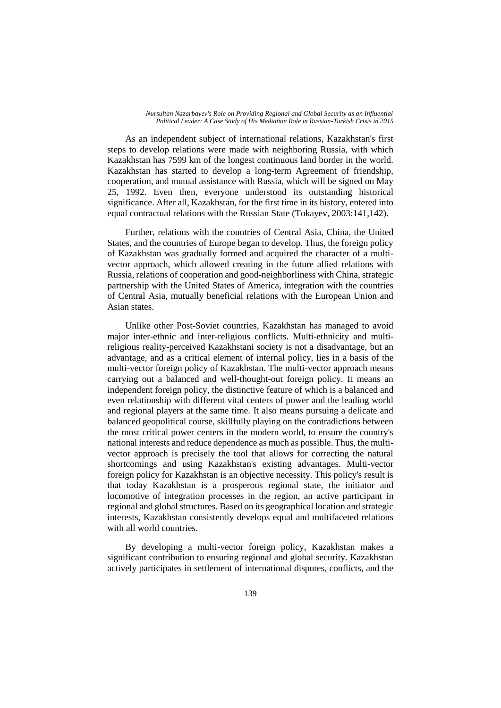As an independent subject of international relations, Kazakhstan's first steps to develop relations were made with neighboring Russia, with which Kazakhstan has 7599 km of the longest continuous land border in the world. Kazakhstan has started to develop a long-term Agreement of friendship, cooperation, and mutual assistance with Russia, which will be signed on May 25, 1992. Even then, everyone understood its outstanding historical significance. After all, Kazakhstan, for the first time in its history, entered into equal contractual relations with the Russian State (Tokayev, 2003:141,142).

Further, relations with the countries of Central Asia, China, the United States, and the countries of Europe began to develop. Thus, the foreign policy of Kazakhstan was gradually formed and acquired the character of a multivector approach, which allowed creating in the future allied relations with Russia, relations of cooperation and good-neighborliness with China, strategic partnership with the United States of America, integration with the countries of Central Asia, mutually beneficial relations with the European Union and Asian states.

Unlike other Post-Soviet countries, Kazakhstan has managed to avoid major inter-ethnic and inter-religious conflicts. Multi-ethnicity and multireligious reality-perceived Kazakhstani society is not a disadvantage, but an advantage, and as a critical element of internal policy, lies in a basis of the multi-vector foreign policy of Kazakhstan. The multi-vector approach means carrying out a balanced and well-thought-out foreign policy. It means an independent foreign policy, the distinctive feature of which is a balanced and even relationship with different vital centers of power and the leading world and regional players at the same time. It also means pursuing a delicate and balanced geopolitical course, skillfully playing on the contradictions between the most critical power centers in the modern world, to ensure the country's national interests and reduce dependence as much as possible. Thus, the multivector approach is precisely the tool that allows for correcting the natural shortcomings and using Kazakhstan's existing advantages. Multi-vector foreign policy for Kazakhstan is an objective necessity. This policy's result is that today Kazakhstan is a prosperous regional state, the initiator and locomotive of integration processes in the region, an active participant in regional and global structures. Based on its geographical location and strategic interests, Kazakhstan consistently develops equal and multifaceted relations with all world countries.

By developing a multi-vector foreign policy, Kazakhstan makes a significant contribution to ensuring regional and global security. Kazakhstan actively participates in settlement of international disputes, conflicts, and the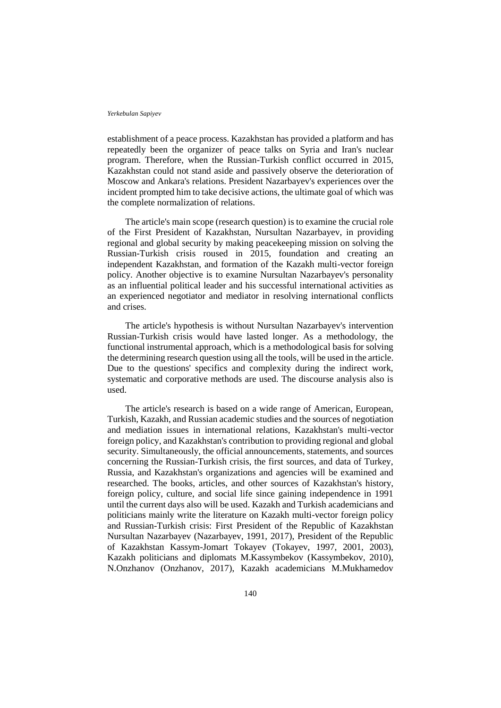establishment of a peace process. Kazakhstan has provided a platform and has repeatedly been the organizer of peace talks on Syria and Iran's nuclear program. Therefore, when the Russian-Turkish conflict occurred in 2015, Kazakhstan could not stand aside and passively observe the deterioration of Moscow and Ankara's relations. President Nazarbayev's experiences over the incident prompted him to take decisive actions, the ultimate goal of which was the complete normalization of relations.

The article's main scope (research question) is to examine the crucial role of the First President of Kazakhstan, Nursultan Nazarbayev, in providing regional and global security by making peacekeeping mission on solving the Russian-Turkish crisis roused in 2015, foundation and creating an independent Kazakhstan, and formation of the Kazakh multi-vector foreign policy. Another objective is to examine Nursultan Nazarbayev's personality as an influential political leader and his successful international activities as an experienced negotiator and mediator in resolving international conflicts and crises.

The article's hypothesis is without Nursultan Nazarbayev's intervention Russian-Turkish crisis would have lasted longer. As a methodology, the functional instrumental approach, which is a methodological basis for solving the determining research question using all the tools, will be used in the article. Due to the questions' specifics and complexity during the indirect work, systematic and corporative methods are used. The discourse analysis also is used.

The article's research is based on a wide range of American, European, Turkish, Kazakh, and Russian academic studies and the sources of negotiation and mediation issues in international relations, Kazakhstan's multi-vector foreign policy, and Kazakhstan's contribution to providing regional and global security. Simultaneously, the official announcements, statements, and sources concerning the Russian-Turkish crisis, the first sources, and data of Turkey, Russia, and Kazakhstan's organizations and agencies will be examined and researched. The books, articles, and other sources of Kazakhstan's history, foreign policy, culture, and social life since gaining independence in 1991 until the current days also will be used. Kazakh and Turkish academicians and politicians mainly write the literature on Kazakh multi-vector foreign policy and Russian-Turkish crisis: First President of the Republic of Kazakhstan Nursultan Nazarbayev (Nazarbayev, 1991, 2017), President of the Republic of Kazakhstan Kassym-Jomart Tokayev (Tokayev, 1997, 2001, 2003), Kazakh politicians and diplomats M.Kassymbekov (Kassymbekov, 2010), N.Onzhanov (Onzhanov, 2017), Kazakh academicians M.Mukhamedov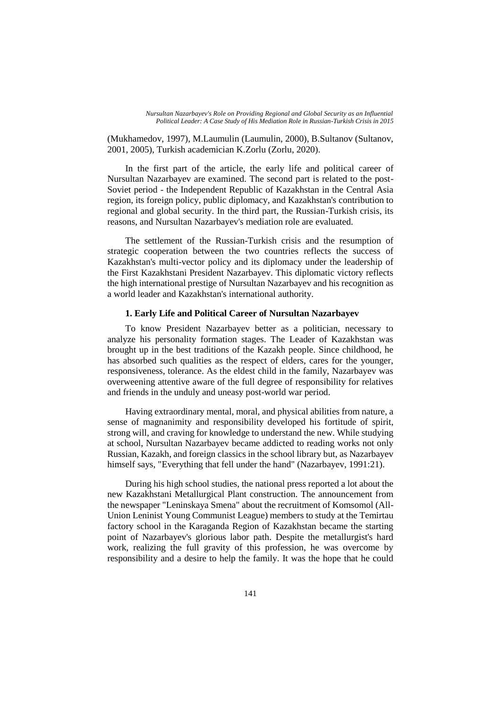(Mukhamedov, 1997), M.Laumulin (Laumulin, 2000), B.Sultanov (Sultanov, 2001, 2005), Turkish academician K.Zorlu (Zorlu, 2020).

In the first part of the article, the early life and political career of Nursultan Nazarbayev are examined. The second part is related to the post-Soviet period - the Independent Republic of Kazakhstan in the Central Asia region, its foreign policy, public diplomacy, and Kazakhstan's contribution to regional and global security. In the third part, the Russian-Turkish crisis, its reasons, and Nursultan Nazarbayev's mediation role are evaluated.

The settlement of the Russian-Turkish crisis and the resumption of strategic cooperation between the two countries reflects the success of Kazakhstan's multi-vector policy and its diplomacy under the leadership of the First Kazakhstani President Nazarbayev. This diplomatic victory reflects the high international prestige of Nursultan Nazarbayev and his recognition as a world leader and Kazakhstan's international authority.

### **1. Early Life and Political Career of Nursultan Nazarbayev**

To know President Nazarbayev better as a politician, necessary to analyze his personality formation stages. The Leader of Kazakhstan was brought up in the best traditions of the Kazakh people. Since childhood, he has absorbed such qualities as the respect of elders, cares for the younger, responsiveness, tolerance. As the eldest child in the family, Nazarbayev was overweening attentive aware of the full degree of responsibility for relatives and friends in the unduly and uneasy post-world war period.

Having extraordinary mental, moral, and physical abilities from nature, a sense of magnanimity and responsibility developed his fortitude of spirit, strong will, and craving for knowledge to understand the new. While studying at school, Nursultan Nazarbayev became addicted to reading works not only Russian, Kazakh, and foreign classics in the school library but, as Nazarbayev himself says, "Everything that fell under the hand" (Nazarbayev, 1991:21).

During his high school studies, the national press reported a lot about the new Kazakhstani Metallurgical Plant construction. The announcement from the newspaper "Leninskaya Smena" about the recruitment of Komsomol (All-Union Leninist Young Communist League) members to study at the Temirtau factory school in the Karaganda Region of Kazakhstan became the starting point of Nazarbayev's glorious labor path. Despite the metallurgist's hard work, realizing the full gravity of this profession, he was overcome by responsibility and a desire to help the family. It was the hope that he could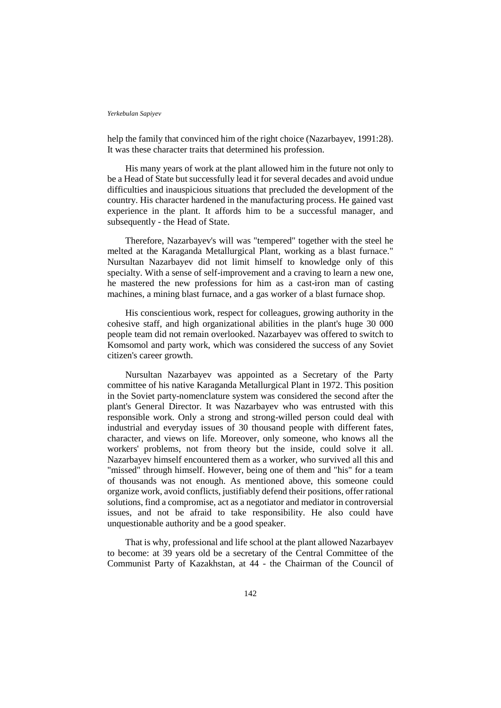help the family that convinced him of the right choice (Nazarbayev, 1991:28). It was these character traits that determined his profession.

His many years of work at the plant allowed him in the future not only to be a Head of State but successfully lead it for several decades and avoid undue difficulties and inauspicious situations that precluded the development of the country. His character hardened in the manufacturing process. He gained vast experience in the plant. It affords him to be a successful manager, and subsequently - the Head of State.

Therefore, Nazarbayev's will was "tempered" together with the steel he melted at the Karaganda Metallurgical Plant, working as a blast furnace." Nursultan Nazarbayev did not limit himself to knowledge only of this specialty. With a sense of self-improvement and a craving to learn a new one, he mastered the new professions for him as a cast-iron man of casting machines, a mining blast furnace, and a gas worker of a blast furnace shop.

His conscientious work, respect for colleagues, growing authority in the cohesive staff, and high organizational abilities in the plant's huge 30 000 people team did not remain overlooked. Nazarbayev was offered to switch to Komsomol and party work, which was considered the success of any Soviet citizen's career growth.

Nursultan Nazarbayev was appointed as a Secretary of the Party committee of his native Karaganda Metallurgical Plant in 1972. This position in the Soviet party-nomenclature system was considered the second after the plant's General Director. It was Nazarbayev who was entrusted with this responsible work. Only a strong and strong-willed person could deal with industrial and everyday issues of 30 thousand people with different fates, character, and views on life. Moreover, only someone, who knows all the workers' problems, not from theory but the inside, could solve it all. Nazarbayev himself encountered them as a worker, who survived all this and "missed" through himself. However, being one of them and "his" for a team of thousands was not enough. As mentioned above, this someone could organize work, avoid conflicts, justifiably defend their positions, offer rational solutions, find a compromise, act as a negotiator and mediator in controversial issues, and not be afraid to take responsibility. He also could have unquestionable authority and be a good speaker.

That is why, professional and life school at the plant allowed Nazarbayev to become: at 39 years old be a secretary of the Central Committee of the Communist Party of Kazakhstan, at 44 - the Chairman of the Council of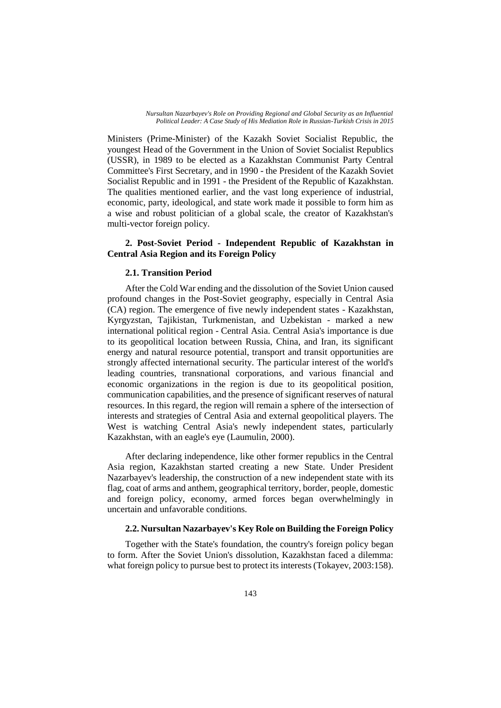Ministers (Prime-Minister) of the Kazakh Soviet Socialist Republic, the youngest Head of the Government in the Union of Soviet Socialist Republics (USSR), in 1989 to be elected as a Kazakhstan Communist Party Central Committee's First Secretary, and in 1990 - the President of the Kazakh Soviet Socialist Republic and in 1991 - the President of the Republic of Kazakhstan. The qualities mentioned earlier, and the vast long experience of industrial, economic, party, ideological, and state work made it possible to form him as a wise and robust politician of a global scale, the creator of Kazakhstan's multi-vector foreign policy.

# **2. Post-Soviet Period - Independent Republic of Kazakhstan in Central Asia Region and its Foreign Policy**

### **2.1. Transition Period**

After the Cold War ending and the dissolution of the Soviet Union caused profound changes in the Post-Soviet geography, especially in Central Asia (CA) region. The emergence of five newly independent states - Kazakhstan, Kyrgyzstan, Tajikistan, Turkmenistan, and Uzbekistan - marked a new international political region - Central Asia. Central Asia's importance is due to its geopolitical location between Russia, China, and Iran, its significant energy and natural resource potential, transport and transit opportunities are strongly affected international security. The particular interest of the world's leading countries, transnational corporations, and various financial and economic organizations in the region is due to its geopolitical position, communication capabilities, and the presence of significant reserves of natural resources. In this regard, the region will remain a sphere of the intersection of interests and strategies of Central Asia and external geopolitical players. The West is watching Central Asia's newly independent states, particularly Kazakhstan, with an eagle's eye (Laumulin, 2000).

After declaring independence, like other former republics in the Central Asia region, Kazakhstan started creating a new State. Under President Nazarbayev's leadership, the construction of a new independent state with its flag, coat of arms and anthem, geographical territory, border, people, domestic and foreign policy, economy, armed forces began overwhelmingly in uncertain and unfavorable conditions.

## **2.2. Nursultan Nazarbayev's Key Role on Building the Foreign Policy**

Together with the State's foundation, the country's foreign policy began to form. After the Soviet Union's dissolution, Kazakhstan faced a dilemma: what foreign policy to pursue best to protect its interests (Tokayev, 2003:158).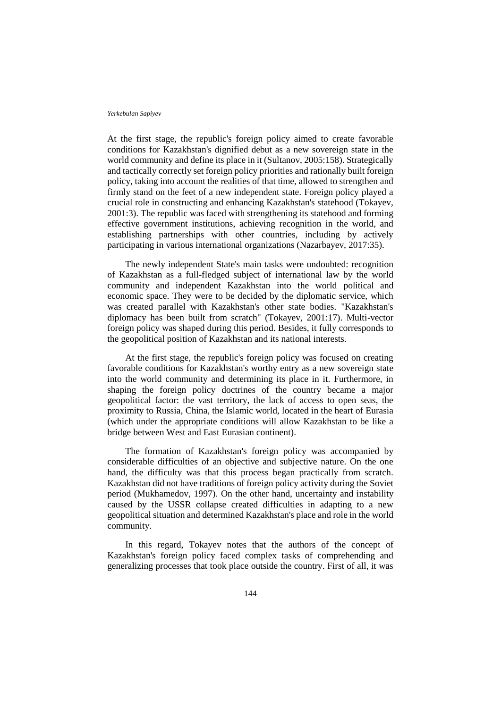At the first stage, the republic's foreign policy aimed to create favorable conditions for Kazakhstan's dignified debut as a new sovereign state in the world community and define its place in it (Sultanov, 2005:158). Strategically and tactically correctly set foreign policy priorities and rationally built foreign policy, taking into account the realities of that time, allowed to strengthen and firmly stand on the feet of a new independent state. Foreign policy played a crucial role in constructing and enhancing Kazakhstan's statehood (Tokayev, 2001:3). The republic was faced with strengthening its statehood and forming effective government institutions, achieving recognition in the world, and establishing partnerships with other countries, including by actively participating in various international organizations (Nazarbayev, 2017:35).

The newly independent State's main tasks were undoubted: recognition of Kazakhstan as a full-fledged subject of international law by the world community and independent Kazakhstan into the world political and economic space. They were to be decided by the diplomatic service, which was created parallel with Kazakhstan's other state bodies. "Kazakhstan's diplomacy has been built from scratch" (Tokayev, 2001:17). Multi-vector foreign policy was shaped during this period. Besides, it fully corresponds to the geopolitical position of Kazakhstan and its national interests.

At the first stage, the republic's foreign policy was focused on creating favorable conditions for Kazakhstan's worthy entry as a new sovereign state into the world community and determining its place in it. Furthermore, in shaping the foreign policy doctrines of the country became a major geopolitical factor: the vast territory, the lack of access to open seas, the proximity to Russia, China, the Islamic world, located in the heart of Eurasia (which under the appropriate conditions will allow Kazakhstan to be like a bridge between West and East Eurasian continent).

The formation of Kazakhstan's foreign policy was accompanied by considerable difficulties of an objective and subjective nature. On the one hand, the difficulty was that this process began practically from scratch. Kazakhstan did not have traditions of foreign policy activity during the Soviet period (Mukhamedov, 1997). On the other hand, uncertainty and instability caused by the USSR collapse created difficulties in adapting to a new geopolitical situation and determined Kazakhstan's place and role in the world community.

In this regard, Tokayev notes that the authors of the concept of Kazakhstan's foreign policy faced complex tasks of comprehending and generalizing processes that took place outside the country. First of all, it was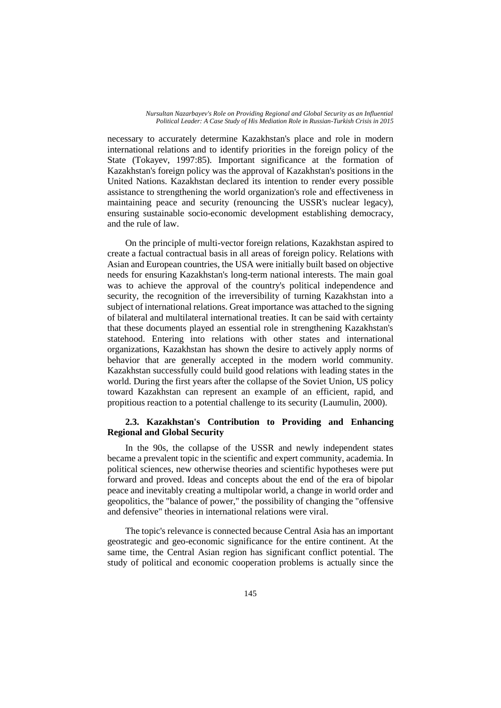necessary to accurately determine Kazakhstan's place and role in modern international relations and to identify priorities in the foreign policy of the State (Tokayev, 1997:85). Important significance at the formation of Kazakhstan's foreign policy was the approval of Kazakhstan's positions in the United Nations. Kazakhstan declared its intention to render every possible assistance to strengthening the world organization's role and effectiveness in maintaining peace and security (renouncing the USSR's nuclear legacy), ensuring sustainable socio-economic development establishing democracy, and the rule of law.

On the principle of multi-vector foreign relations, Kazakhstan aspired to create a factual contractual basis in all areas of foreign policy. Relations with Asian and European countries, the USA were initially built based on objective needs for ensuring Kazakhstan's long-term national interests. The main goal was to achieve the approval of the country's political independence and security, the recognition of the irreversibility of turning Kazakhstan into a subject of international relations. Great importance was attached to the signing of bilateral and multilateral international treaties. It can be said with certainty that these documents played an essential role in strengthening Kazakhstan's statehood. Entering into relations with other states and international organizations, Kazakhstan has shown the desire to actively apply norms of behavior that are generally accepted in the modern world community. Kazakhstan successfully could build good relations with leading states in the world. During the first years after the collapse of the Soviet Union, US policy toward Kazakhstan can represent an example of an efficient, rapid, and propitious reaction to a potential challenge to its security (Laumulin, 2000).

## **2.3. Kazakhstan's Contribution to Providing and Enhancing Regional and Global Security**

In the 90s, the collapse of the USSR and newly independent states became a prevalent topic in the scientific and expert community, academia. In political sciences, new otherwise theories and scientific hypotheses were put forward and proved. Ideas and concepts about the end of the era of bipolar peace and inevitably creating a multipolar world, a change in world order and geopolitics, the "balance of power," the possibility of changing the "offensive and defensive" theories in international relations were viral.

The topic's relevance is connected because Central Asia has an important geostrategic and geo-economic significance for the entire continent. At the same time, the Central Asian region has significant conflict potential. The study of political and economic cooperation problems is actually since the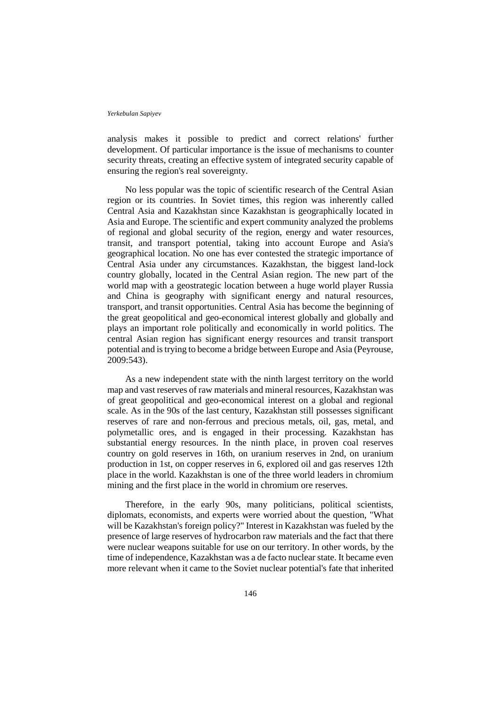analysis makes it possible to predict and correct relations' further development. Of particular importance is the issue of mechanisms to counter security threats, creating an effective system of integrated security capable of ensuring the region's real sovereignty.

No less popular was the topic of scientific research of the Central Asian region or its countries. In Soviet times, this region was inherently called Central Asia and Kazakhstan since Kazakhstan is geographically located in Asia and Europe. The scientific and expert community analyzed the problems of regional and global security of the region, energy and water resources, transit, and transport potential, taking into account Europe and Asia's geographical location. No one has ever contested the strategic importance of Central Asia under any circumstances. Kazakhstan, the biggest land-lock country globally, located in the Central Asian region. The new part of the world map with a geostrategic location between a huge world player Russia and China is geography with significant energy and natural resources, transport, and transit opportunities. Central Asia has become the beginning of the great geopolitical and geo-economical interest globally and globally and plays an important role politically and economically in world politics. The central Asian region has significant energy resources and transit transport potential and is trying to become a bridge between Europe and Asia (Peyrouse, 2009:543).

As a new independent state with the ninth largest territory on the world map and vast reserves of raw materials and mineral resources, Kazakhstan was of great geopolitical and geo-economical interest on a global and regional scale. As in the 90s of the last century, Kazakhstan still possesses significant reserves of rare and non-ferrous and precious metals, oil, gas, metal, and polymetallic ores, and is engaged in their processing. Kazakhstan has substantial energy resources. In the ninth place, in proven coal reserves country on gold reserves in 16th, on uranium reserves in 2nd, on uranium production in 1st, on copper reserves in 6, explored oil and gas reserves 12th place in the world. Kazakhstan is one of the three world leaders in chromium mining and the first place in the world in chromium ore reserves.

Therefore, in the early 90s, many politicians, political scientists, diplomats, economists, and experts were worried about the question, "What will be Kazakhstan's foreign policy?" Interest in Kazakhstan was fueled by the presence of large reserves of hydrocarbon raw materials and the fact that there were nuclear weapons suitable for use on our territory. In other words, by the time of independence, Kazakhstan was a de facto nuclear state. It became even more relevant when it came to the Soviet nuclear potential's fate that inherited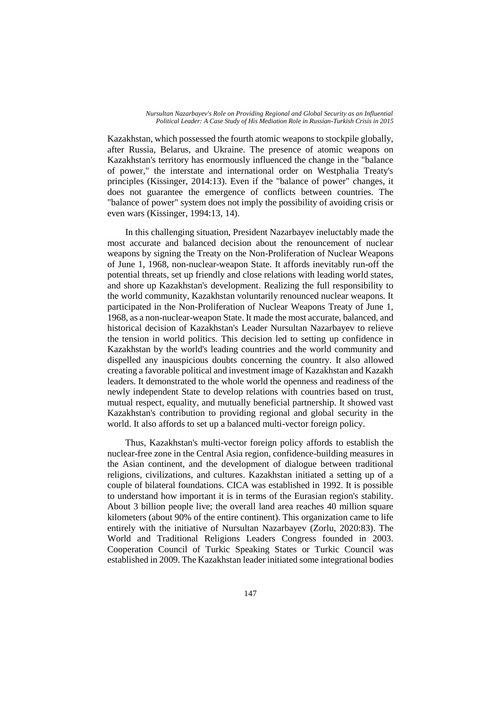Kazakhstan, which possessed the fourth atomic weapons to stockpile globally, after Russia, Belarus, and Ukraine. The presence of atomic weapons on Kazakhstan's territory has enormously influenced the change in the "balance of power," the interstate and international order on Westphalia Treaty's principles (Kissinger, 2014:13). Even if the "balance of power" changes, it does not guarantee the emergence of conflicts between countries. The "balance of power" system does not imply the possibility of avoiding crisis or even wars (Kissinger, 1994:13, 14).

In this challenging situation, President Nazarbayev ineluctably made the most accurate and balanced decision about the renouncement of nuclear weapons by signing the Treaty on the Non-Proliferation of Nuclear Weapons of June 1, 1968, non-nuclear-weapon State. It affords inevitably run-off the potential threats, set up friendly and close relations with leading world states, and shore up Kazakhstan's development. Realizing the full responsibility to the world community, Kazakhstan voluntarily renounced nuclear weapons. It participated in the Non-Proliferation of Nuclear Weapons Treaty of June 1, 1968, as a non-nuclear-weapon State. It made the most accurate, balanced, and historical decision of Kazakhstan's Leader Nursultan Nazarbayev to relieve the tension in world politics. This decision led to setting up confidence in Kazakhstan by the world's leading countries and the world community and dispelled any inauspicious doubts concerning the country. It also allowed creating a favorable political and investment image of Kazakhstan and Kazakh leaders. It demonstrated to the whole world the openness and readiness of the newly independent State to develop relations with countries based on trust, mutual respect, equality, and mutually beneficial partnership. It showed vast Kazakhstan's contribution to providing regional and global security in the world. It also affords to set up a balanced multi-vector foreign policy.

Thus, Kazakhstan's multi-vector foreign policy affords to establish the nuclear-free zone in the Central Asia region, confidence-building measures in the Asian continent, and the development of dialogue between traditional religions, civilizations, and cultures. Kazakhstan initiated a setting up of a couple of bilateral foundations. CICA was established in 1992. It is possible to understand how important it is in terms of the Eurasian region's stability. About 3 billion people live; the overall land area reaches 40 million square kilometers (about 90% of the entire continent). This organization came to life entirely with the initiative of Nursultan Nazarbayev (Zorlu, 2020:83). The World and Traditional Religions Leaders Congress founded in 2003. Cooperation Council of Turkic Speaking States or Turkic Council was established in 2009. The Kazakhstan leader initiated some integrational bodies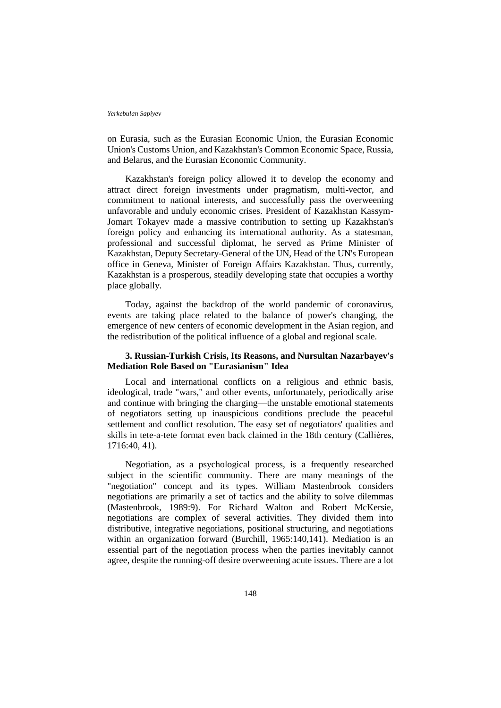on Eurasia, such as the Eurasian Economic Union, the Eurasian Economic Union's Customs Union, and Kazakhstan's Common Economic Space, Russia, and Belarus, and the Eurasian Economic Community.

Kazakhstan's foreign policy allowed it to develop the economy and attract direct foreign investments under pragmatism, multi-vector, and commitment to national interests, and successfully pass the overweening unfavorable and unduly economic crises. President of Kazakhstan Kassym-Jomart Tokayev made a massive contribution to setting up Kazakhstan's foreign policy and enhancing its international authority. As a statesman, professional and successful diplomat, he served as Prime Minister of Kazakhstan, Deputy Secretary-General of the UN, Head of the UN's European office in Geneva, Minister of Foreign Affairs Kazakhstan. Thus, currently, Kazakhstan is a prosperous, steadily developing state that occupies a worthy place globally.

Today, against the backdrop of the world pandemic of coronavirus, events are taking place related to the balance of power's changing, the emergence of new centers of economic development in the Asian region, and the redistribution of the political influence of a global and regional scale.

## **3. Russian-Turkish Crisis, Its Reasons, and Nursultan Nazarbayev's Mediation Role Based on "Eurasianism" Idea**

Local and international conflicts on a religious and ethnic basis, ideological, trade "wars," and other events, unfortunately, periodically arise and continue with bringing the charging—the unstable emotional statements of negotiators setting up inauspicious conditions preclude the peaceful settlement and conflict resolution. The easy set of negotiators' qualities and skills in tete-a-tete format even back claimed in the 18th century (Callières, 1716:40, 41).

Negotiation, as a psychological process, is a frequently researched subject in the scientific community. There are many meanings of the "negotiation" concept and its types. William Mastenbrook considers negotiations are primarily a set of tactics and the ability to solve dilemmas (Mastenbrook, 1989:9). For Richard Walton and Robert McKersie, negotiations are complex of several activities. They divided them into distributive, integrative negotiations, positional structuring, and negotiations within an organization forward (Burchill, 1965:140,141). Mediation is an essential part of the negotiation process when the parties inevitably cannot agree, despite the running-off desire overweening acute issues. There are a lot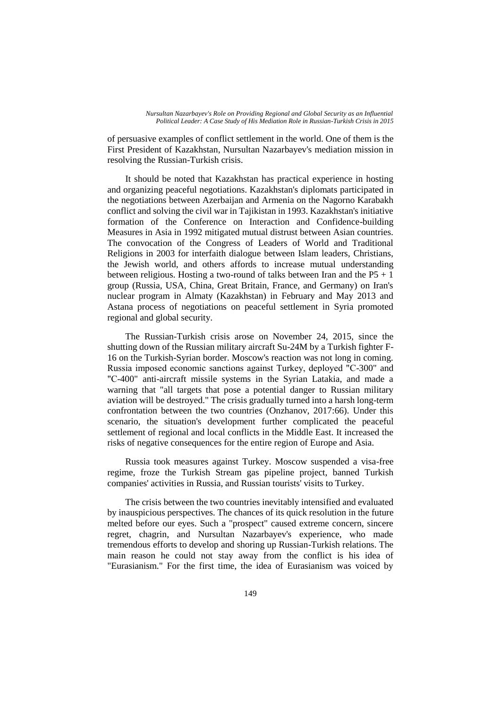of persuasive examples of conflict settlement in the world. One of them is the First President of Kazakhstan, Nursultan Nazarbayev's mediation mission in resolving the Russian-Turkish crisis.

It should be noted that Kazakhstan has practical experience in hosting and organizing peaceful negotiations. Kazakhstan's diplomats participated in the negotiations between Azerbaijan and Armenia on the Nagorno Karabakh conflict and solving the civil war in Tajikistan in 1993. Kazakhstan's initiative formation of the Conference on Interaction and Confidence-building Measures in Asia in 1992 mitigated mutual distrust between Asian countries. The convocation of the Congress of Leaders of World and Traditional Religions in 2003 for interfaith dialogue between Islam leaders, Christians, the Jewish world, and others affords to increase mutual understanding between religious. Hosting a two-round of talks between Iran and the  $P5 + 1$ group (Russia, USA, China, Great Britain, France, and Germany) on Iran's nuclear program in Almaty (Kazakhstan) in February and May 2013 and Astana process of negotiations on peaceful settlement in Syria promoted regional and global security.

The Russian-Turkish crisis arose on November 24, 2015, since the shutting down of the Russian military aircraft Su-24M by a Turkish fighter F-16 on the Turkish-Syrian border. Moscow's reaction was not long in coming. Russia imposed economic sanctions against Turkey, deployed "С-300" and "С-400" anti-aircraft missile systems in the Syrian Latakia, and made a warning that "all targets that pose a potential danger to Russian military aviation will be destroyed." The crisis gradually turned into a harsh long-term confrontation between the two countries (Onzhanov, 2017:66). Under this scenario, the situation's development further complicated the peaceful settlement of regional and local conflicts in the Middle East. It increased the risks of negative consequences for the entire region of Europe and Asia.

Russia took measures against Turkey. Moscow suspended a visa-free regime, froze the Turkish Stream gas pipeline project, banned Turkish companies' activities in Russia, and Russian tourists' visits to Turkey.

The crisis between the two countries inevitably intensified and evaluated by inauspicious perspectives. The chances of its quick resolution in the future melted before our eyes. Such a "prospect" caused extreme concern, sincere regret, chagrin, and Nursultan Nazarbayev's experience, who made tremendous efforts to develop and shoring up Russian-Turkish relations. The main reason he could not stay away from the conflict is his idea of "Eurasianism." For the first time, the idea of Eurasianism was voiced by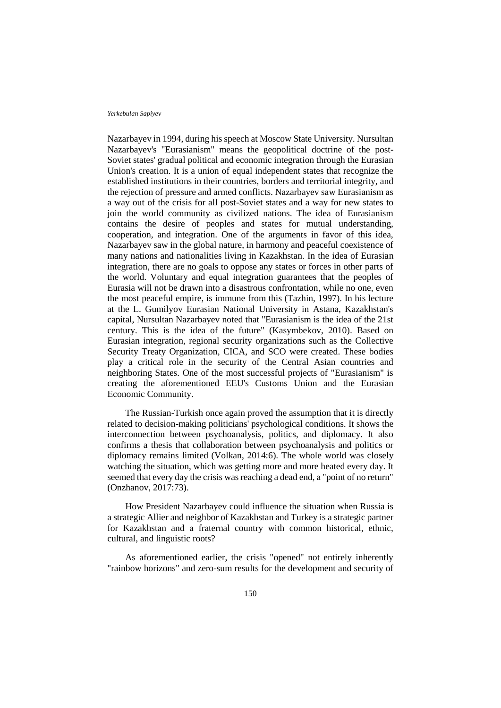Nazarbayev in 1994, during his speech at Moscow State University. Nursultan Nazarbayev's "Eurasianism" means the geopolitical doctrine of the post-Soviet states' gradual political and economic integration through the Eurasian Union's creation. It is a union of equal independent states that recognize the established institutions in their countries, borders and territorial integrity, and the rejection of pressure and armed conflicts. Nazarbayev saw Eurasianism as a way out of the crisis for all post-Soviet states and a way for new states to join the world community as civilized nations. The idea of Eurasianism contains the desire of peoples and states for mutual understanding, cooperation, and integration. One of the arguments in favor of this idea, Nazarbayev saw in the global nature, in harmony and peaceful coexistence of many nations and nationalities living in Kazakhstan. In the idea of Eurasian integration, there are no goals to oppose any states or forces in other parts of the world. Voluntary and equal integration guarantees that the peoples of Eurasia will not be drawn into a disastrous confrontation, while no one, even the most peaceful empire, is immune from this (Tazhin, 1997). In his lecture at the L. Gumilyov Eurasian National University in Astana, Kazakhstan's capital, Nursultan Nazarbayev noted that "Eurasianism is the idea of the 21st century. This is the idea of the future" (Kasymbekov, 2010). Based on Eurasian integration, regional security organizations such as the Collective Security Treaty Organization, CICA, and SCO were created. These bodies play a critical role in the security of the Central Asian countries and neighboring States. One of the most successful projects of "Eurasianism" is creating the aforementioned EEU's Customs Union and the Eurasian Economic Community.

The Russian-Turkish once again proved the assumption that it is directly related to decision-making politicians' psychological conditions. It shows the interconnection between psychoanalysis, politics, and diplomacy. It also confirms a thesis that collaboration between psychoanalysis and politics or diplomacy remains limited (Volkan, 2014:6). The whole world was closely watching the situation, which was getting more and more heated every day. It seemed that every day the crisis was reaching a dead end, a "point of no return" (Onzhanov, 2017:73).

How President Nazarbayev could influence the situation when Russia is a strategic Allier and neighbor of Kazakhstan and Turkey is a strategic partner for Kazakhstan and a fraternal country with common historical, ethnic, cultural, and linguistic roots?

As aforementioned earlier, the crisis "opened" not entirely inherently "rainbow horizons" and zero-sum results for the development and security of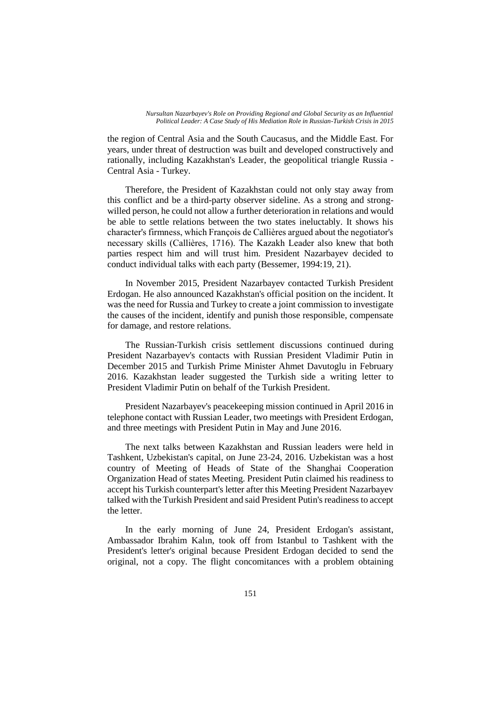the region of Central Asia and the South Caucasus, and the Middle East. For years, under threat of destruction was built and developed constructively and rationally, including Kazakhstan's Leader, the geopolitical triangle Russia - Central Asia - Turkey.

Therefore, the President of Kazakhstan could not only stay away from this conflict and be a third-party observer sideline. As a strong and strongwilled person, he could not allow a further deterioration in relations and would be able to settle relations between the two states ineluctably. It shows his character's firmness, which François de Callières argued about the negotiator's necessary skills (Callières, 1716). The Kazakh Leader also knew that both parties respect him and will trust him. President Nazarbayev decided to conduct individual talks with each party (Bessemer, 1994:19, 21).

In November 2015, President Nazarbayev contacted Turkish President Erdogan. He also announced Kazakhstan's official position on the incident. It was the need for Russia and Turkey to create a joint commission to investigate the causes of the incident, identify and punish those responsible, compensate for damage, and restore relations.

The Russian-Turkish crisis settlement discussions continued during President Nazarbayev's contacts with Russian President Vladimir Putin in December 2015 and Turkish Prime Minister Ahmet Davutoglu in February 2016. Kazakhstan leader suggested the Turkish side a writing letter to President Vladimir Putin on behalf of the Turkish President.

President Nazarbayev's peacekeeping mission continued in April 2016 in telephone contact with Russian Leader, two meetings with President Erdogan, and three meetings with President Putin in May and June 2016.

The next talks between Kazakhstan and Russian leaders were held in Tashkent, Uzbekistan's capital, on June 23-24, 2016. Uzbekistan was a host country of Meeting of Heads of State of the Shanghai Cooperation Organization Head of states Meeting. President Putin claimed his readiness to accept his Turkish counterpart's letter after this Meeting President Nazarbayev talked with the Turkish President and said President Putin's readiness to accept the letter.

In the early morning of June 24, President Erdogan's assistant, Ambassador Ibrahim Kalın, took off from Istanbul to Tashkent with the President's letter's original because President Erdogan decided to send the original, not a copy. The flight concomitances with a problem obtaining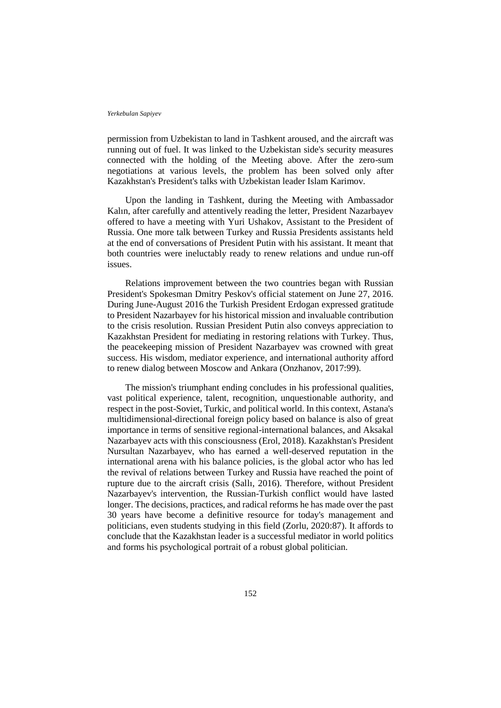permission from Uzbekistan to land in Tashkent aroused, and the aircraft was running out of fuel. It was linked to the Uzbekistan side's security measures connected with the holding of the Meeting above. After the zero-sum negotiations at various levels, the problem has been solved only after Kazakhstan's President's talks with Uzbekistan leader Islam Karimov.

Upon the landing in Tashkent, during the Meeting with Ambassador Kalın, after carefully and attentively reading the letter, President Nazarbayev offered to have a meeting with Yuri Ushakov, Assistant to the President of Russia. One more talk between Turkey and Russia Presidents assistants held at the end of conversations of President Putin with his assistant. It meant that both countries were ineluctably ready to renew relations and undue run-off issues.

Relations improvement between the two countries began with Russian President's Spokesman Dmitry Peskov's official statement on June 27, 2016. During June-August 2016 the Turkish President Erdogan expressed gratitude to President Nazarbayev for his historical mission and invaluable contribution to the crisis resolution. Russian President Putin also conveys appreciation to Kazakhstan President for mediating in restoring relations with Turkey. Thus, the peacekeeping mission of President Nazarbayev was crowned with great success. His wisdom, mediator experience, and international authority afford to renew dialog between Moscow and Ankara (Onzhanov, 2017:99).

The mission's triumphant ending concludes in his professional qualities, vast political experience, talent, recognition, unquestionable authority, and respect in the post-Soviet, Turkic, and political world. In this context, Astana's multidimensional-directional foreign policy based on balance is also of great importance in terms of sensitive regional-international balances, and Aksakal Nazarbayev acts with this consciousness (Erol, 2018). Kazakhstan's President Nursultan Nazarbayev, who has earned a well-deserved reputation in the international arena with his balance policies, is the global actor who has led the revival of relations between Turkey and Russia have reached the point of rupture due to the aircraft crisis (Sallı, 2016). Therefore, without President Nazarbayev's intervention, the Russian-Turkish conflict would have lasted longer. The decisions, practices, and radical reforms he has made over the past 30 years have become a definitive resource for today's management and politicians, even students studying in this field (Zorlu, 2020:87). It affords to conclude that the Kazakhstan leader is a successful mediator in world politics and forms his psychological portrait of a robust global politician.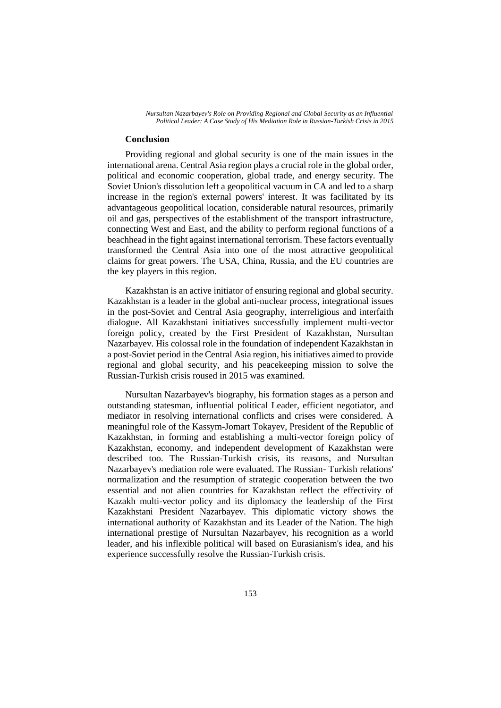### **Conclusion**

Providing regional and global security is one of the main issues in the international arena. Central Asia region plays a crucial role in the global order, political and economic cooperation, global trade, and energy security. The Soviet Union's dissolution left a geopolitical vacuum in CA and led to a sharp increase in the region's external powers' interest. It was facilitated by its advantageous geopolitical location, considerable natural resources, primarily oil and gas, perspectives of the establishment of the transport infrastructure, connecting West and East, and the ability to perform regional functions of a beachhead in the fight against international terrorism. These factors eventually transformed the Central Asia into one of the most attractive geopolitical claims for great powers. The USA, China, Russia, and the EU countries are the key players in this region.

Kazakhstan is an active initiator of ensuring regional and global security. Kazakhstan is a leader in the global anti-nuclear process, integrational issues in the post-Soviet and Central Asia geography, interreligious and interfaith dialogue. All Kazakhstani initiatives successfully implement multi-vector foreign policy, created by the First President of Kazakhstan, Nursultan Nazarbayev. His colossal role in the foundation of independent Kazakhstan in a post-Soviet period in the Central Asia region, his initiatives aimed to provide regional and global security, and his peacekeeping mission to solve the Russian-Turkish crisis roused in 2015 was examined.

Nursultan Nazarbayev's biography, his formation stages as a person and outstanding statesman, influential political Leader, efficient negotiator, and mediator in resolving international conflicts and crises were considered. A meaningful role of the Kassym-Jomart Tokayev, President of the Republic of Kazakhstan, in forming and establishing a multi-vector foreign policy of Kazakhstan, economy, and independent development of Kazakhstan were described too. The Russian-Turkish crisis, its reasons, and Nursultan Nazarbayev's mediation role were evaluated. The Russian- Turkish relations' normalization and the resumption of strategic cooperation between the two essential and not alien countries for Kazakhstan reflect the effectivity of Kazakh multi-vector policy and its diplomacy the leadership of the First Kazakhstani President Nazarbayev. This diplomatic victory shows the international authority of Kazakhstan and its Leader of the Nation. The high international prestige of Nursultan Nazarbayev, his recognition as a world leader, and his inflexible political will based on Eurasianism's idea, and his experience successfully resolve the Russian-Turkish crisis.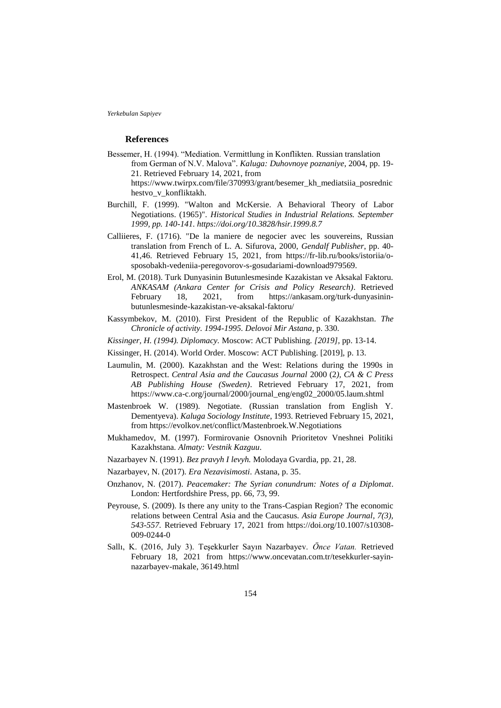### **References**

- Bessemer, H. (1994). "Mediation. Vermittlung in Konflikten. Russian translation from German of N.V. Malova". *Kaluga: Duhovnoye poznaniye*, 2004, pp. 19- 21. Retrieved February 14, 2021, from https://www.twirpx.com/file/370993/grant/besemer\_kh\_mediatsiia\_posrednic hestvo\_v\_konfliktakh.
- Burchill, F. (1999). "Walton and McKersie. A Behavioral Theory of Labor Negotiations. (1965)". *Historical Studies in Industrial Relations. September 1999, pp. 140-141. https://doi.org/10.3828/hsir.1999.8.7*
- Calliieres, F. (1716). "De la maniere de negocier avec les souvereins, Russian translation from French of L. A. Sifurova, 2000, *Gendalf Publisher*, pp. 40- 41,46. Retrieved February 15, 2021, from https://fr-lib.ru/books/istoriia/osposobakh-vedeniia-peregovorov-s-gosudariami-download979569.
- Erol, M. (2018). Turk Dunyasinin Butunlesmesinde Kazakistan ve Aksakal Faktoru. *ANKASAM (Ankara Center for Crisis and Policy Research)*. Retrieved February 18, 2021, from https://ankasam.org/turk-dunyasininbutunlesmesinde-kazakistan-ve-aksakal-faktoru/
- Kassymbekov, M. (2010). First President of the Republic of Kazakhstan. *The Chronicle of activity. 1994-1995. Delovoi Mir Astana*, p. 330.
- *Kissinger, H. (1994). Diplomacy.* Moscow: ACT Publishing*. [2019],* pp. 13-14.
- Kissinger, H. (2014). World Order. Moscow: ACT Publishing. [2019], p. 13.
- Laumulin, M. (2000). Kazakhstan and the West: Relations during the 1990s in Retrospect. *Central Asia and the Caucasus Journal* 2000 (2*), CA & C Press AB Publishing House (Sweden)*. Retrieved February 17, 2021, from https://www.ca-c.org/journal/2000/journal\_eng/eng02\_2000/05.laum.shtml
- Mastenbroek W. (1989). Negotiate. (Russian translation from English Y. Dementyeva). *Kaluga Sociology Institute*, 1993. Retrieved February 15, 2021, from https://evolkov.net/conflict/Mastenbroek.W.Negotiations
- Mukhamedov, M. (1997). Formirovanie Osnovnih Prioritetov Vneshnei Politiki Kazakhstana. *Almaty: Vestnik Kazguu*.
- Nazarbayev N. (1991). *Bez pravyh I levyh.* Molodaya Gvardia*,* pp. 21, 28.
- Nazarbayev, N. (2017). *Era Nezavisimosti*. Astana, p. 35.
- Onzhanov, N. (2017). *Peacemaker: The Syrian conundrum: Notes of a Diplomat*. London: Hertfordshire Press*,* pp. 66, 73, 99.
- Peyrouse, S. (2009). Is there any unity to the Trans-Caspian Region? The economic relations between Central Asia and the Caucasus. *Asia Europe Journal, 7(3), 543-557.* Retrieved February 17, 2021 from https://doi.org/10.1007/s10308- 009-0244-0
- Sallı, K. (2016, July 3). Teşekkurler Sayın Nazarbayev. *Önce Vatan.* Retrieved February 18, 2021 from https://www.oncevatan.com.tr/tesekkurler-sayinnazarbayev-makale, 36149.html